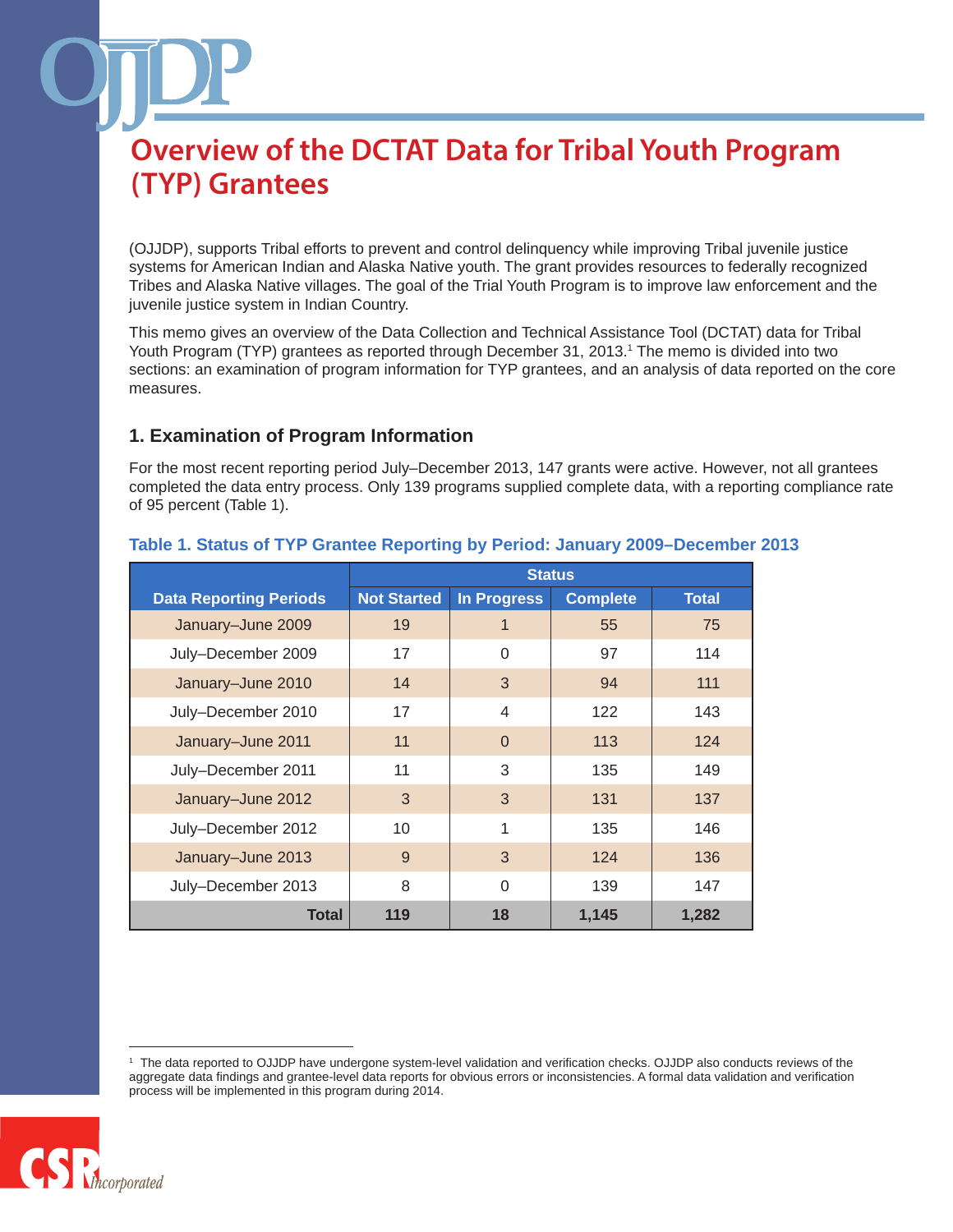(OJJDP), supports Tribal efforts to prevent and control delinquency while improving Tribal juvenile justice systems for American Indian and Alaska Native youth. The grant provides resources to federally recognized Tribes and Alaska Native villages. The goal of the Trial Youth Program is to improve law enforcement and the juvenile justice system in Indian Country.

This memo gives an overview of the Data Collection and Technical Assistance Tool (DCTAT) data for Tribal Youth Program (TYP) grantees as reported through December 31, 2013.<sup>1</sup> The memo is divided into two sections: an examination of program information for TYP grantees, and an analysis of data reported on the core measures.

### **1. Examination of Program Information**

For the most recent reporting period July–December 2013, 147 grants were active. However, not all grantees completed the data entry process. Only 139 programs supplied complete data, with a reporting compliance rate of 95 percent (Table 1).

|                               | <b>Status</b>      |                |                 |              |
|-------------------------------|--------------------|----------------|-----------------|--------------|
| <b>Data Reporting Periods</b> | <b>Not Started</b> | In Progress    | <b>Complete</b> | <b>Total</b> |
| January-June 2009             | 19                 | $\mathbf 1$    | 55              | 75           |
| July-December 2009            | 17                 | $\Omega$       | 97              | 114          |
| January-June 2010             | 14                 | 3              | 94              | 111          |
| July-December 2010            | 17                 | $\overline{4}$ | 122             | 143          |
| January-June 2011             | 11                 | $\Omega$       | 113             | 124          |
| July-December 2011            | 11                 | 3              | 135             | 149          |
| January-June 2012             | 3                  | 3              | 131             | 137          |
| July-December 2012            | 10                 | 1              | 135             | 146          |
| January-June 2013             | 9                  | 3              | 124             | 136          |
| July-December 2013            | 8                  | $\Omega$       | 139             | 147          |
| <b>Total</b>                  | 119                | 18             | 1,145           | 1,282        |

### **Table 1. Status of TYP Grantee Reporting by Period: January 2009–December 2013**

<sup>1</sup> The data reported to OJJDP have undergone system-level validation and verification checks. OJJDP also conducts reviews of the aggregate data findings and grantee-level data reports for obvious errors or inconsistencies. A formal data validation and verification process will be implemented in this program during 2014.

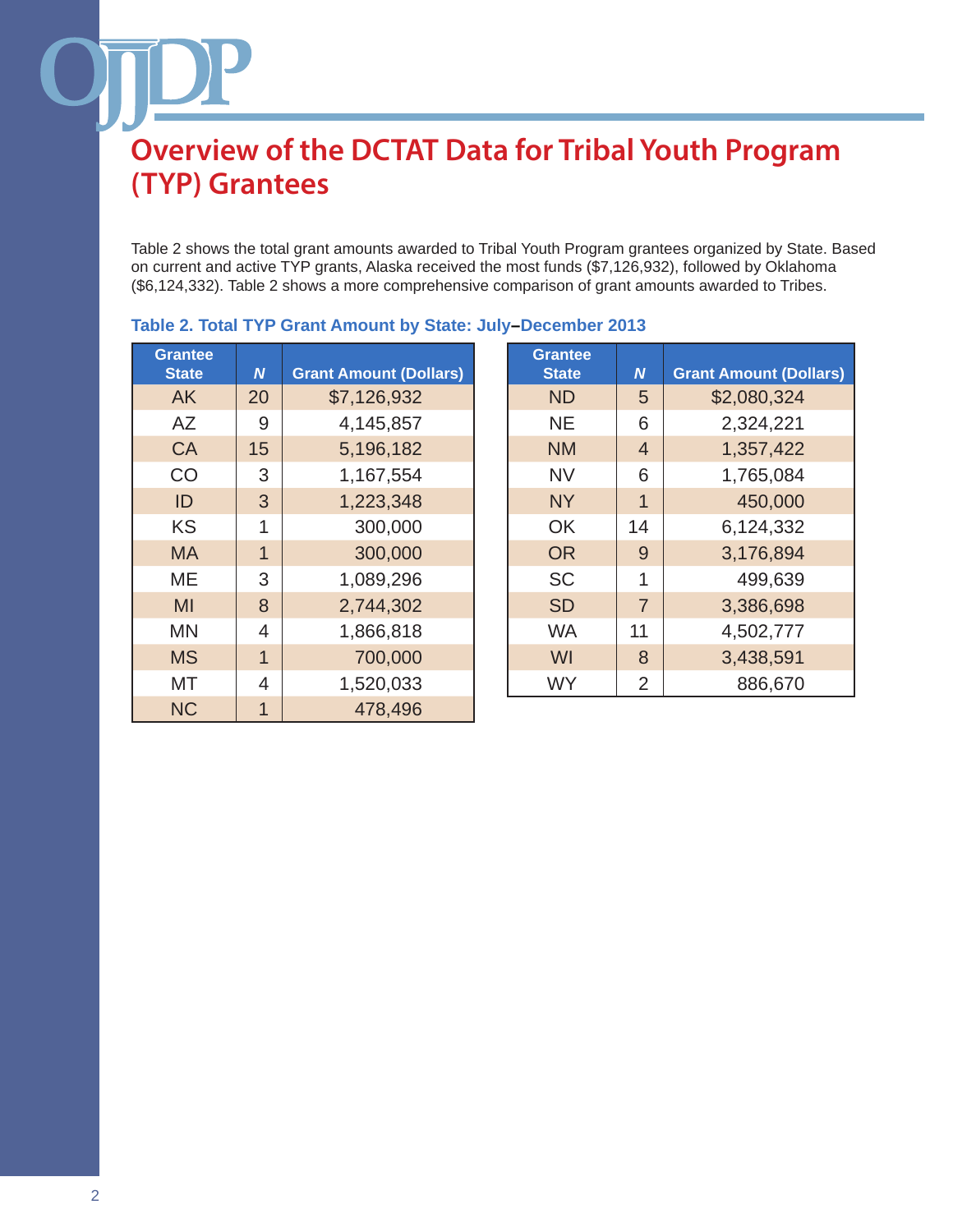Table 2 shows the total grant amounts awarded to Tribal Youth Program grantees organized by State. Based on current and active TYP grants, Alaska received the most funds (\$7,126,932), followed by Oklahoma (\$6,124,332). Table 2 shows a more comprehensive comparison of grant amounts awarded to Tribes.

| <b>Grantee</b><br><b>State</b> | N              | <b>Grant Amount (Dollars)</b> |
|--------------------------------|----------------|-------------------------------|
| AK                             | 20             | \$7,126,932                   |
| AZ                             | 9              | 4,145,857                     |
| <b>CA</b>                      | 15             | 5,196,182                     |
| CO                             | 3              | 1,167,554                     |
| ID                             | 3              | 1,223,348                     |
| <b>KS</b>                      | 1              | 300,000                       |
| MA                             | $\overline{1}$ | 300,000                       |
| MЕ                             | 3              | 1,089,296                     |
| MI                             | 8              | 2,744,302                     |
| ΜN                             | $\overline{4}$ | 1,866,818                     |
| <b>MS</b>                      | $\overline{1}$ | 700,000                       |
| МT                             | 4              | 1,520,033                     |
| <b>NC</b>                      |                | 478,496                       |

### **Table 2. Total TYP Grant Amount by State: July–December 2013**

| rantee<br><b>State</b> | $\boldsymbol{N}$ | <b>Grant Amount (Dollars)</b> | <b>Grantee</b><br><b>State</b> | $\boldsymbol{N}$ | <b>Grant Amount (Dollars)</b> |
|------------------------|------------------|-------------------------------|--------------------------------|------------------|-------------------------------|
| <b>AK</b>              | 20               | \$7,126,932                   | <b>ND</b>                      | 5                | \$2,080,324                   |
| AZ                     | 9                | 4,145,857                     | <b>NE</b>                      | 6                | 2,324,221                     |
| <b>CA</b>              | 15               | 5,196,182                     | <b>NM</b>                      | $\overline{4}$   | 1,357,422                     |
| CO                     | 3                | 1,167,554                     | <b>NV</b>                      | 6                | 1,765,084                     |
| ID                     | 3                | 1,223,348                     | <b>NY</b>                      | 1                | 450,000                       |
| <b>KS</b>              | 1                | 300,000                       | <b>OK</b>                      | 14               | 6,124,332                     |
| <b>MA</b>              | $\mathbf{1}$     | 300,000                       | <b>OR</b>                      | 9                | 3,176,894                     |
| MЕ                     | 3                | 1,089,296                     | <b>SC</b>                      | 1                | 499,639                       |
| MI                     | 8                | 2,744,302                     | <b>SD</b>                      | $\overline{7}$   | 3,386,698                     |
| MΝ                     | 4                | 1,866,818                     | <b>WA</b>                      | 11               | 4,502,777                     |
| <b>MS</b>              | $\overline{1}$   | 700,000                       | WI                             | 8                | 3,438,591                     |
| МT                     | 4                | 1,520,033                     | <b>WY</b>                      | $\overline{2}$   | 886,670                       |
| $\sim$                 |                  | $1 - 2 - 1 - 2$               |                                |                  |                               |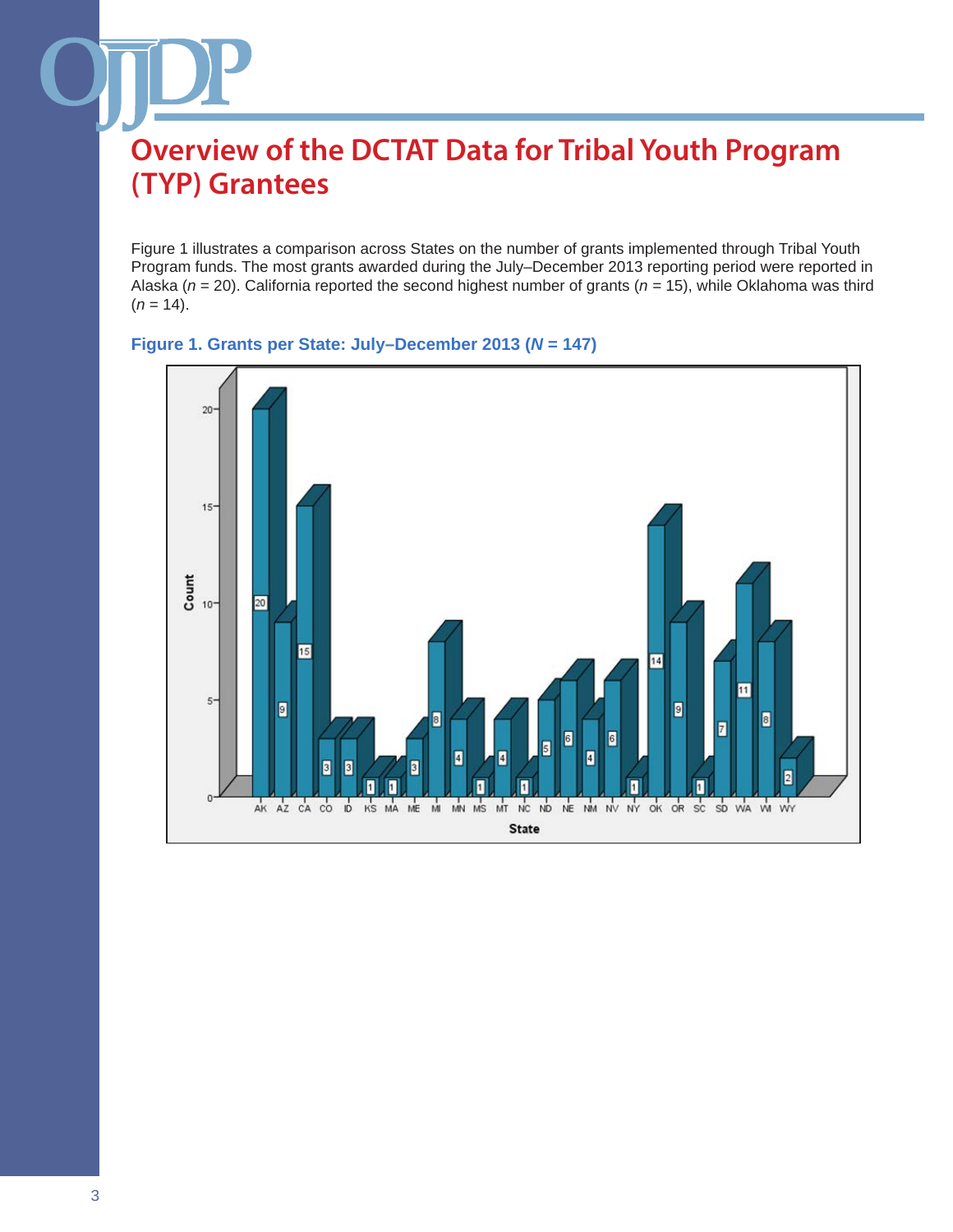Figure 1 illustrates a comparison across States on the number of grants implemented through Tribal Youth Program funds. The most grants awarded during the July–December 2013 reporting period were reported in Alaska (*n* = 20). California reported the second highest number of grants (*n =* 15), while Oklahoma was third  $(n = 14)$ .



#### **Figure 1. Grants per State: July–December 2013 (***N* **= 147)**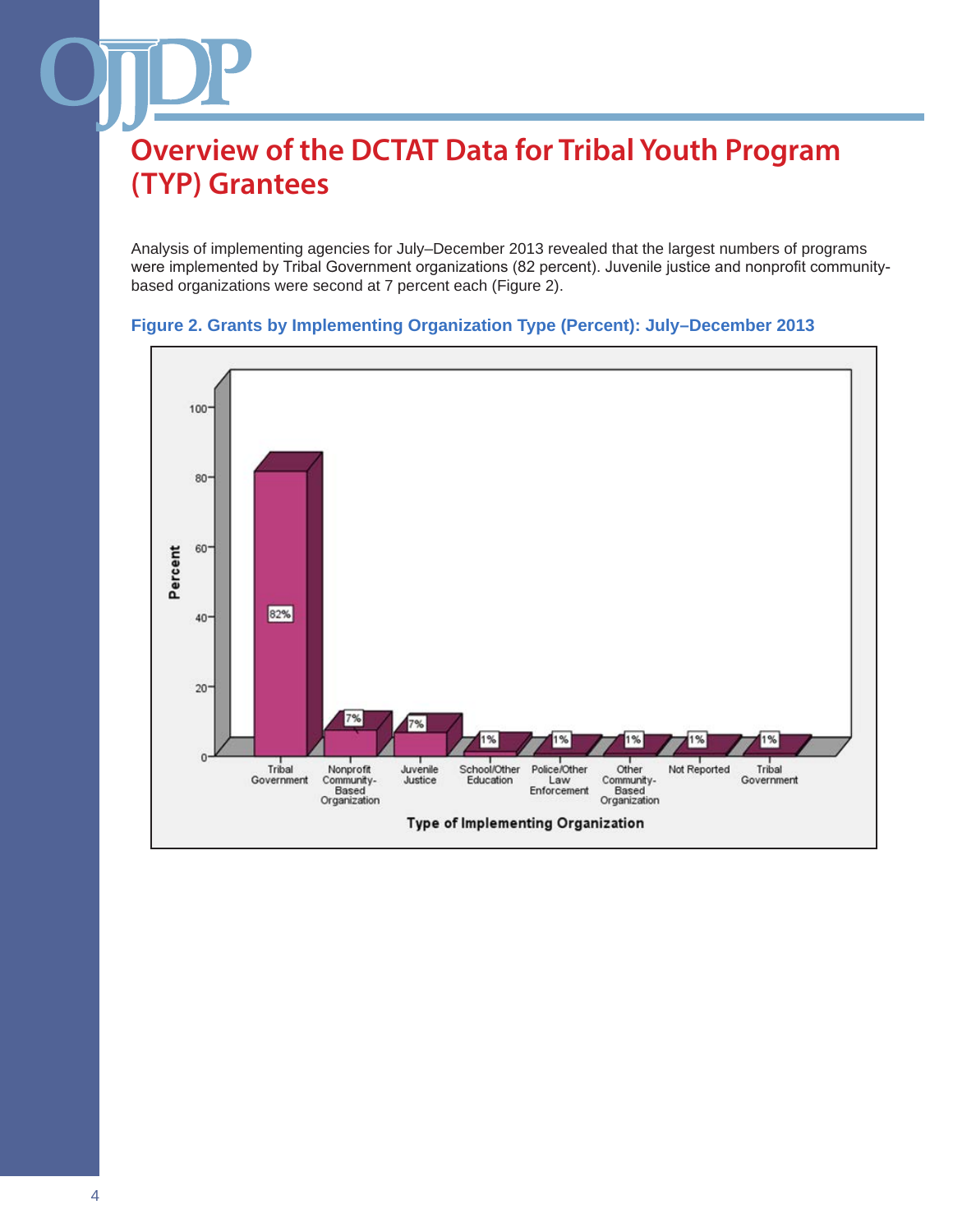Analysis of implementing agencies for July–December 2013 revealed that the largest numbers of programs were implemented by Tribal Government organizations (82 percent). Juvenile justice and nonprofit communitybased organizations were second at 7 percent each (Figure 2).



#### **Figure 2. Grants by Implementing Organization Type (Percent): July–December 2013**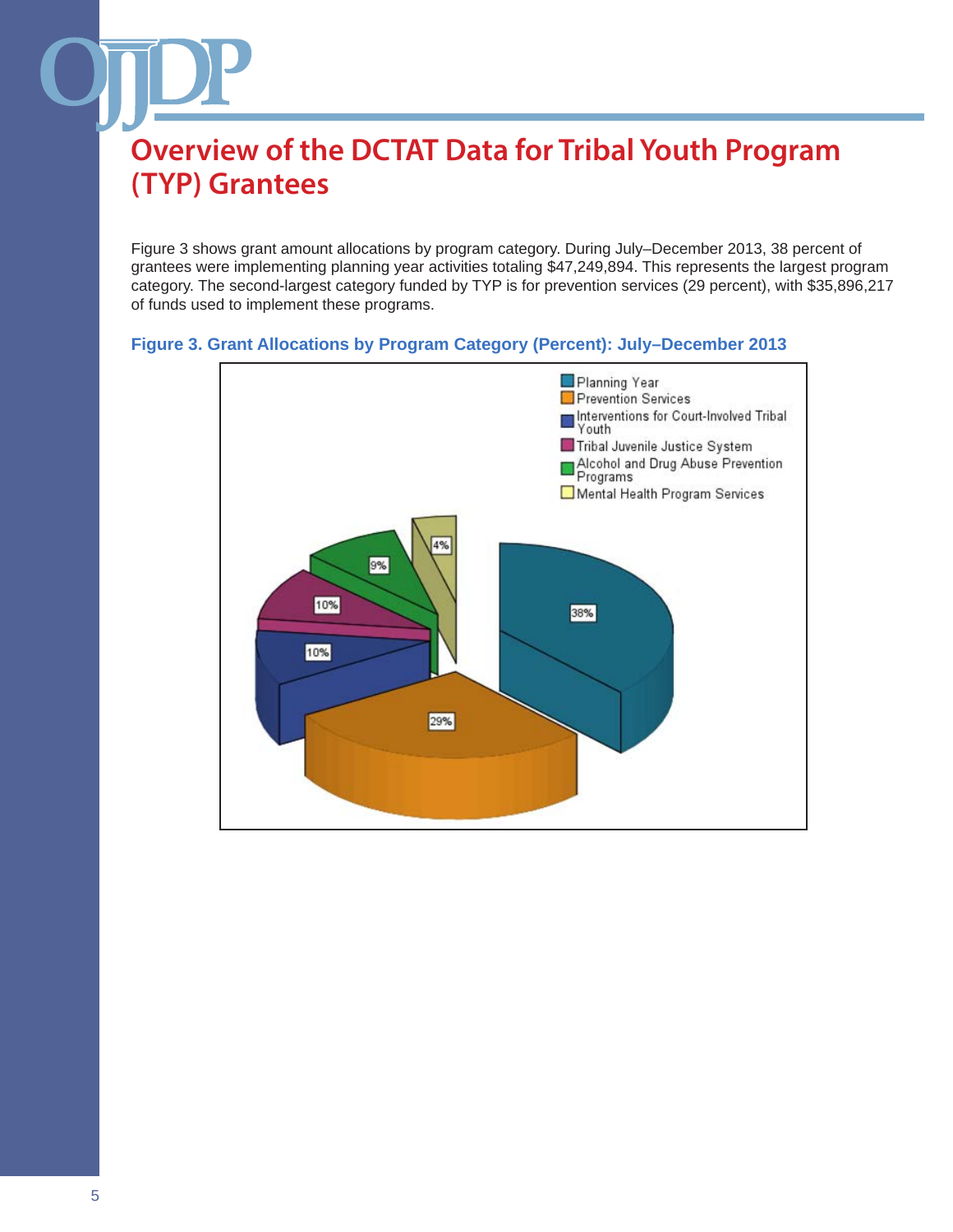Figure 3 shows grant amount allocations by program category. During July–December 2013, 38 percent of grantees were implementing planning year activities totaling \$47,249,894. This represents the largest program category. The second-largest category funded by TYP is for prevention services (29 percent), with \$35,896,217 of funds used to implement these programs.

### **Figure 3. Grant Allocations by Program Category (Percent): July–December 2013**

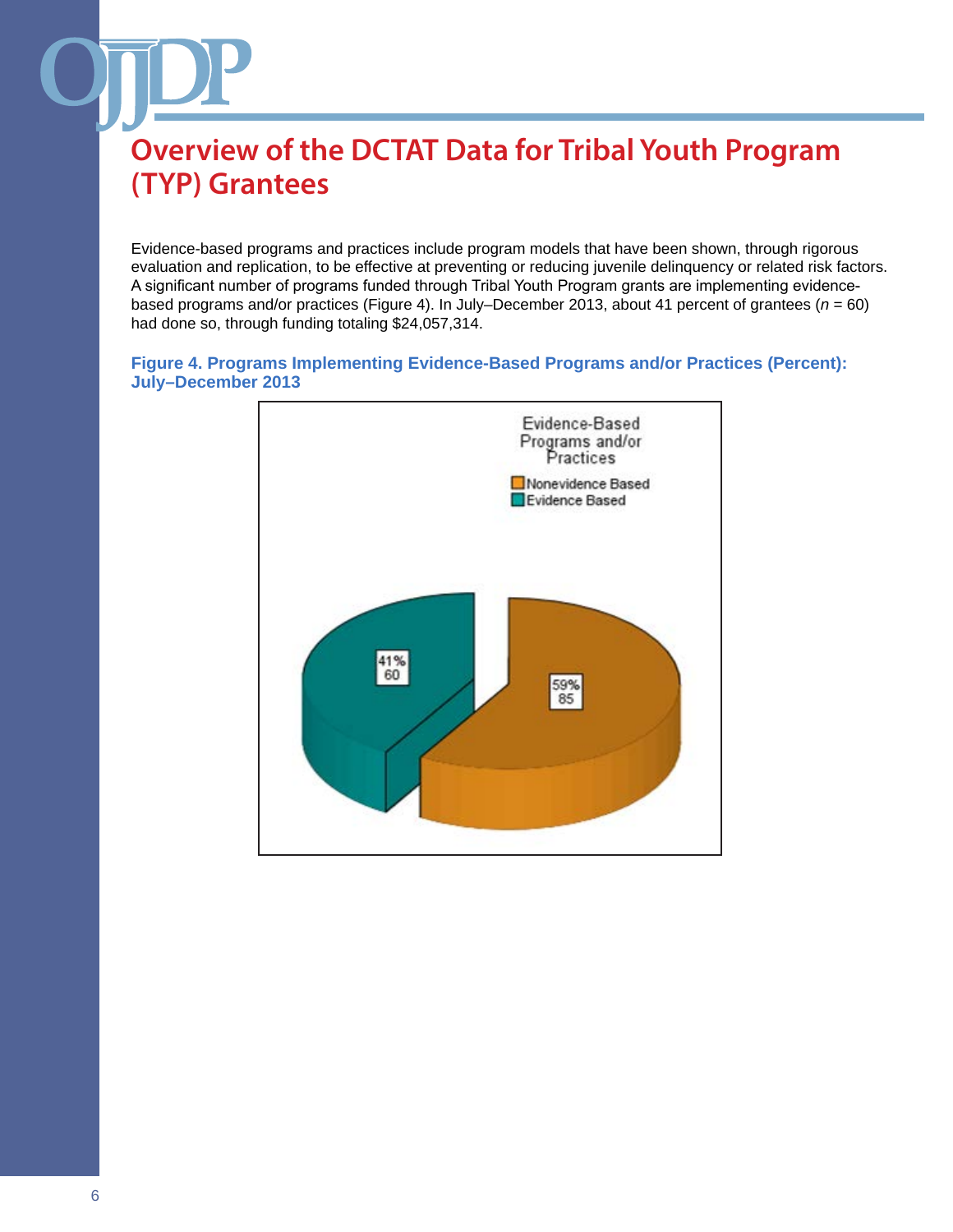Evidence-based programs and practices include program models that have been shown, through rigorous evaluation and replication, to be effective at preventing or reducing juvenile delinquency or related risk factors. A significant number of programs funded through Tribal Youth Program grants are implementing evidencebased programs and/or practices (Figure 4). In July–December 2013, about 41 percent of grantees (*n* = 60) had done so, through funding totaling \$24,057,314.

#### **Figure 4. Programs Implementing Evidence-Based Programs and/or Practices (Percent): July–December 2013**

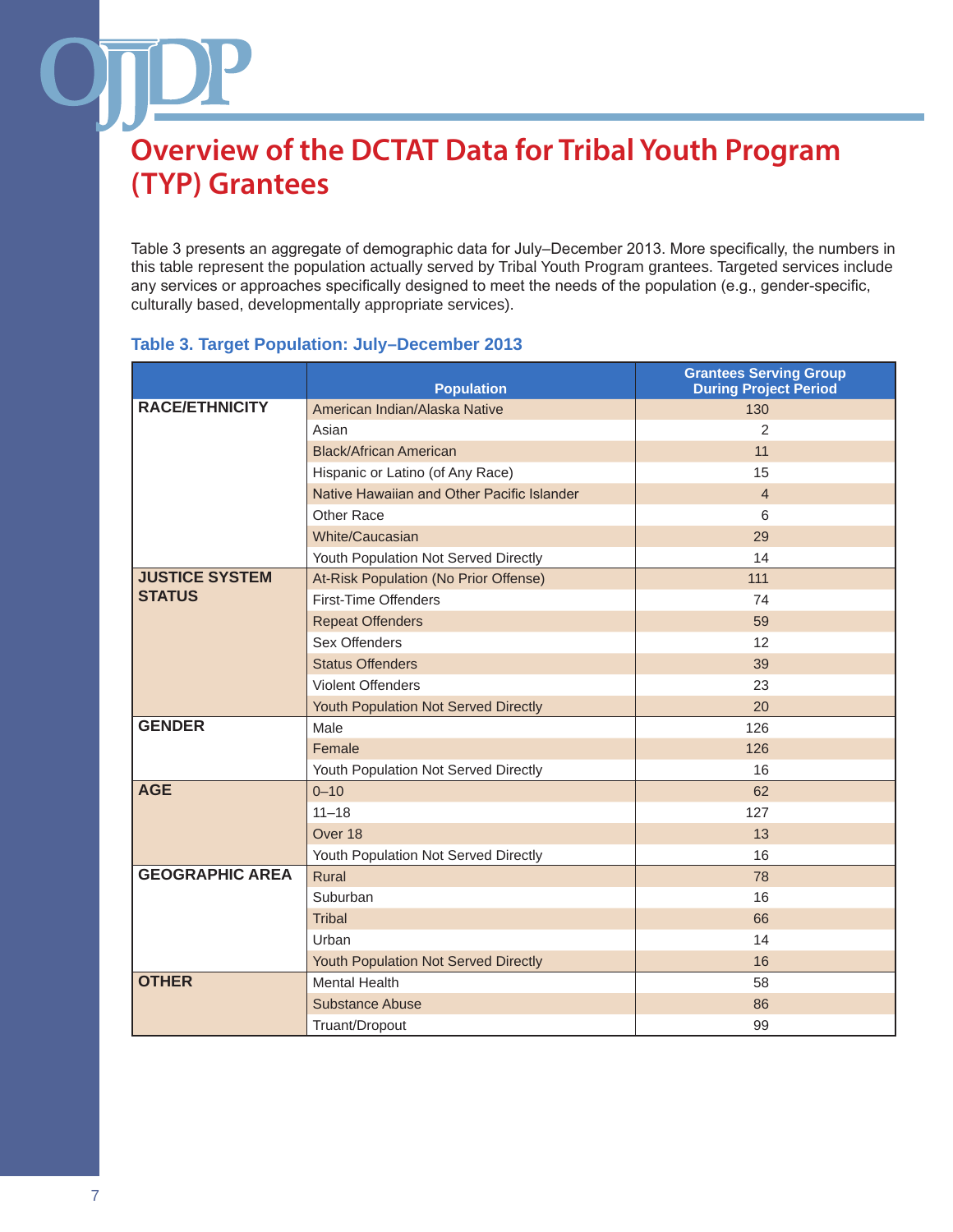Table 3 presents an aggregate of demographic data for July–December 2013. More specifically, the numbers in this table represent the population actually served by Tribal Youth Program grantees. Targeted services include any services or approaches specifically designed to meet the needs of the population (e.g., gender-specific, culturally based, developmentally appropriate services).

### **Table 3. Target Population: July–December 2013**

|                        | <b>Population</b>                          | <b>Grantees Serving Group</b><br><b>During Project Period</b> |
|------------------------|--------------------------------------------|---------------------------------------------------------------|
| <b>RACE/ETHNICITY</b>  | American Indian/Alaska Native              | 130                                                           |
|                        | Asian                                      | 2                                                             |
|                        | <b>Black/African American</b>              | 11                                                            |
|                        | Hispanic or Latino (of Any Race)           | 15                                                            |
|                        | Native Hawaiian and Other Pacific Islander | $\overline{4}$                                                |
|                        | Other Race                                 | 6                                                             |
|                        | White/Caucasian                            | 29                                                            |
|                        | Youth Population Not Served Directly       | 14                                                            |
| <b>JUSTICE SYSTEM</b>  | At-Risk Population (No Prior Offense)      | 111                                                           |
| <b>STATUS</b>          | First-Time Offenders                       | 74                                                            |
|                        | <b>Repeat Offenders</b>                    | 59                                                            |
|                        | Sex Offenders                              | 12                                                            |
|                        | <b>Status Offenders</b>                    | 39                                                            |
|                        | <b>Violent Offenders</b>                   | 23                                                            |
|                        | Youth Population Not Served Directly       | 20                                                            |
| <b>GENDER</b>          | Male                                       | 126                                                           |
|                        | Female                                     | 126                                                           |
|                        | Youth Population Not Served Directly       | 16                                                            |
| <b>AGE</b>             | $0 - 10$                                   | 62                                                            |
|                        | $11 - 18$                                  | 127                                                           |
|                        | Over 18                                    | 13                                                            |
|                        | Youth Population Not Served Directly       | 16                                                            |
| <b>GEOGRAPHIC AREA</b> | Rural                                      | 78                                                            |
|                        | Suburban                                   | 16                                                            |
|                        | Tribal                                     | 66                                                            |
|                        | Urban                                      | 14                                                            |
|                        | Youth Population Not Served Directly       | 16                                                            |
| <b>OTHER</b>           | <b>Mental Health</b>                       | 58                                                            |
|                        | <b>Substance Abuse</b>                     | 86                                                            |
|                        | Truant/Dropout                             | 99                                                            |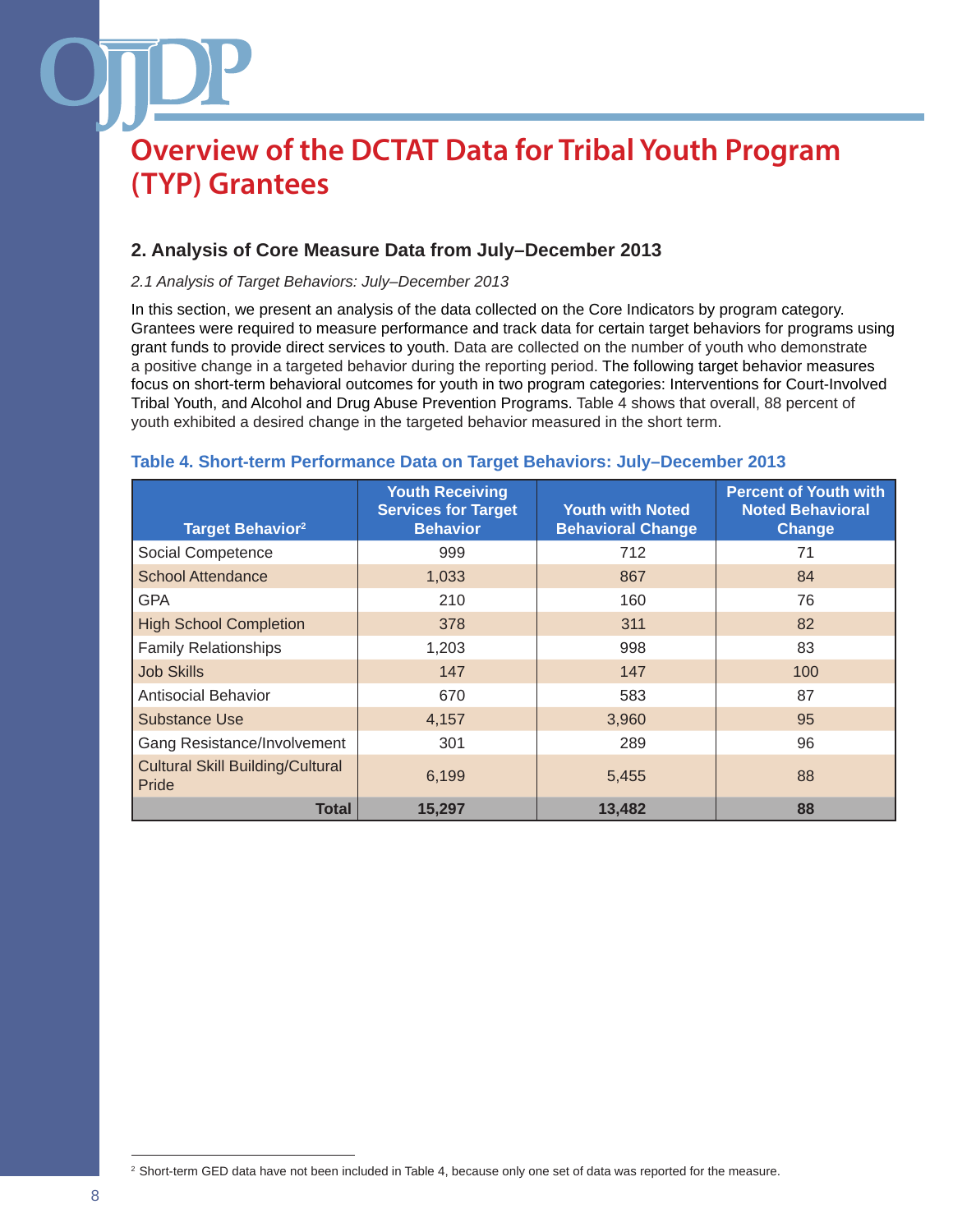### **2. Analysis of Core Measure Data from July–December 2013**

#### *2.1 Analysis of Target Behaviors: July–December 2013*

In this section, we present an analysis of the data collected on the Core Indicators by program category. Grantees were required to measure performance and track data for certain target behaviors for programs using grant funds to provide direct services to youth. Data are collected on the number of youth who demonstrate a positive change in a targeted behavior during the reporting period. The following target behavior measures focus on short-term behavioral outcomes for youth in two program categories: Interventions for Court-Involved Tribal Youth, and Alcohol and Drug Abuse Prevention Programs. Table 4 shows that overall, 88 percent of youth exhibited a desired change in the targeted behavior measured in the short term.

| <b>Target Behavior</b> <sup>2</sup>              | <b>Youth Receiving</b><br><b>Services for Target</b><br><b>Behavior</b> | <b>Youth with Noted</b><br><b>Behavioral Change</b> | <b>Percent of Youth with</b><br><b>Noted Behavioral</b><br>Change |
|--------------------------------------------------|-------------------------------------------------------------------------|-----------------------------------------------------|-------------------------------------------------------------------|
| Social Competence                                | 999                                                                     | 712                                                 | 71                                                                |
| <b>School Attendance</b>                         | 1,033                                                                   | 867                                                 | 84                                                                |
| <b>GPA</b>                                       | 210                                                                     | 160                                                 | 76                                                                |
| <b>High School Completion</b>                    | 378                                                                     | 311                                                 | 82                                                                |
| <b>Family Relationships</b>                      | 1,203                                                                   | 998                                                 | 83                                                                |
| <b>Job Skills</b>                                | 147                                                                     | 147                                                 | 100                                                               |
| <b>Antisocial Behavior</b>                       | 670                                                                     | 583                                                 | 87                                                                |
| <b>Substance Use</b>                             | 4,157                                                                   | 3,960                                               | 95                                                                |
| Gang Resistance/Involvement                      | 301                                                                     | 289                                                 | 96                                                                |
| <b>Cultural Skill Building/Cultural</b><br>Pride | 6,199                                                                   | 5,455                                               | 88                                                                |
| Total                                            | 15,297                                                                  | 13,482                                              | 88                                                                |

#### **Table 4. Short-term Performance Data on Target Behaviors: July–December 2013**

<sup>&</sup>lt;sup>2</sup> Short-term GED data have not been included in Table 4, because only one set of data was reported for the measure.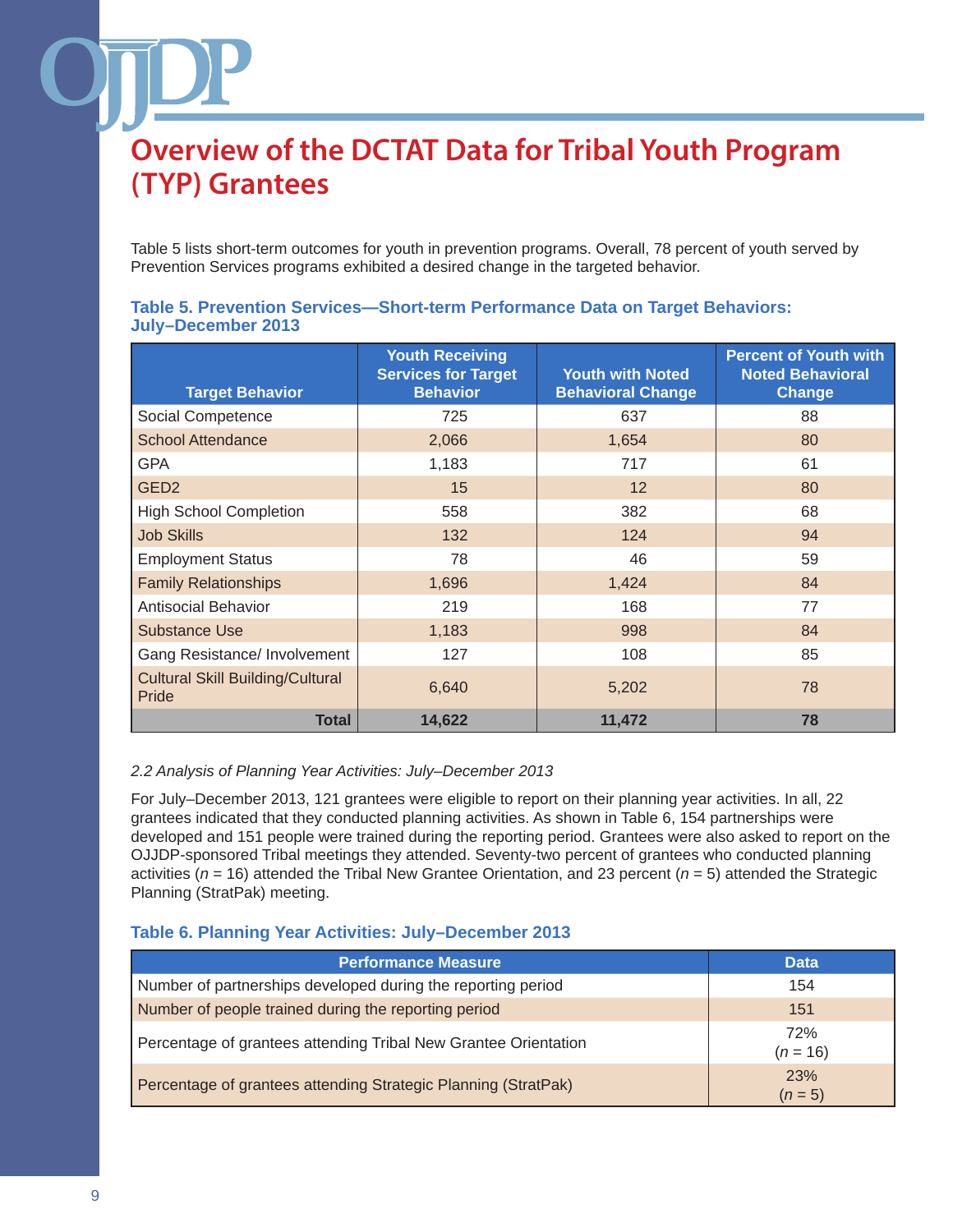Table 5 lists short-term outcomes for youth in prevention programs. Overall, 78 percent of youth served by Prevention Services programs exhibited a desired change in the targeted behavior.

| <b>Target Behavior</b>                           | <b>Youth Receiving</b><br><b>Services for Target</b><br><b>Behavior</b> | <b>Youth with Noted</b><br><b>Behavioral Change</b> | <b>Percent of Youth with</b><br><b>Noted Behavioral</b><br>Change |
|--------------------------------------------------|-------------------------------------------------------------------------|-----------------------------------------------------|-------------------------------------------------------------------|
| Social Competence                                | 725                                                                     | 637                                                 | 88                                                                |
| <b>School Attendance</b>                         | 2,066                                                                   | 1,654                                               | 80                                                                |
| <b>GPA</b>                                       | 1,183                                                                   | 717                                                 | 61                                                                |
| GED <sub>2</sub>                                 | 15                                                                      | 12                                                  | 80                                                                |
| <b>High School Completion</b>                    | 558                                                                     | 382                                                 | 68                                                                |
| <b>Job Skills</b>                                | 132                                                                     | 124                                                 | 94                                                                |
| <b>Employment Status</b>                         | 78                                                                      | 46                                                  | 59                                                                |
| <b>Family Relationships</b>                      | 1,696                                                                   | 1,424                                               | 84                                                                |
| <b>Antisocial Behavior</b>                       | 219                                                                     | 168                                                 | 77                                                                |
| <b>Substance Use</b>                             | 1,183                                                                   | 998                                                 | 84                                                                |
| Gang Resistance/ Involvement                     | 127                                                                     | 108                                                 | 85                                                                |
| <b>Cultural Skill Building/Cultural</b><br>Pride | 6,640                                                                   | 5,202                                               | 78                                                                |
| <b>Total</b>                                     | 14,622                                                                  | 11,472                                              | 78                                                                |

#### **Table 5. Prevention Services—Short-term Performance Data on Target Behaviors: July–December 2013**

#### *2.2 Analysis of Planning Year Activities: July–December 2013*

For July–December 2013, 121 grantees were eligible to report on their planning year activities. In all, 22 grantees indicated that they conducted planning activities. As shown in Table 6, 154 partnerships were developed and 151 people were trained during the reporting period. Grantees were also asked to report on the OJJDP-sponsored Tribal meetings they attended. Seventy-two percent of grantees who conducted planning activities (*n* = 16) attended the Tribal New Grantee Orientation, and 23 percent (*n* = 5) attended the Strategic Planning (StratPak) meeting.

### **Table 6. Planning Year Activities: July–December 2013**

| <b>Performance Measure</b>                                      | <b>Data</b>           |
|-----------------------------------------------------------------|-----------------------|
| Number of partnerships developed during the reporting period    | 154                   |
| Number of people trained during the reporting period            | 151                   |
| Percentage of grantees attending Tribal New Grantee Orientation | 72%<br>$(n = 16)$     |
| Percentage of grantees attending Strategic Planning (StratPak)  | <b>23%</b><br>$(n=5)$ |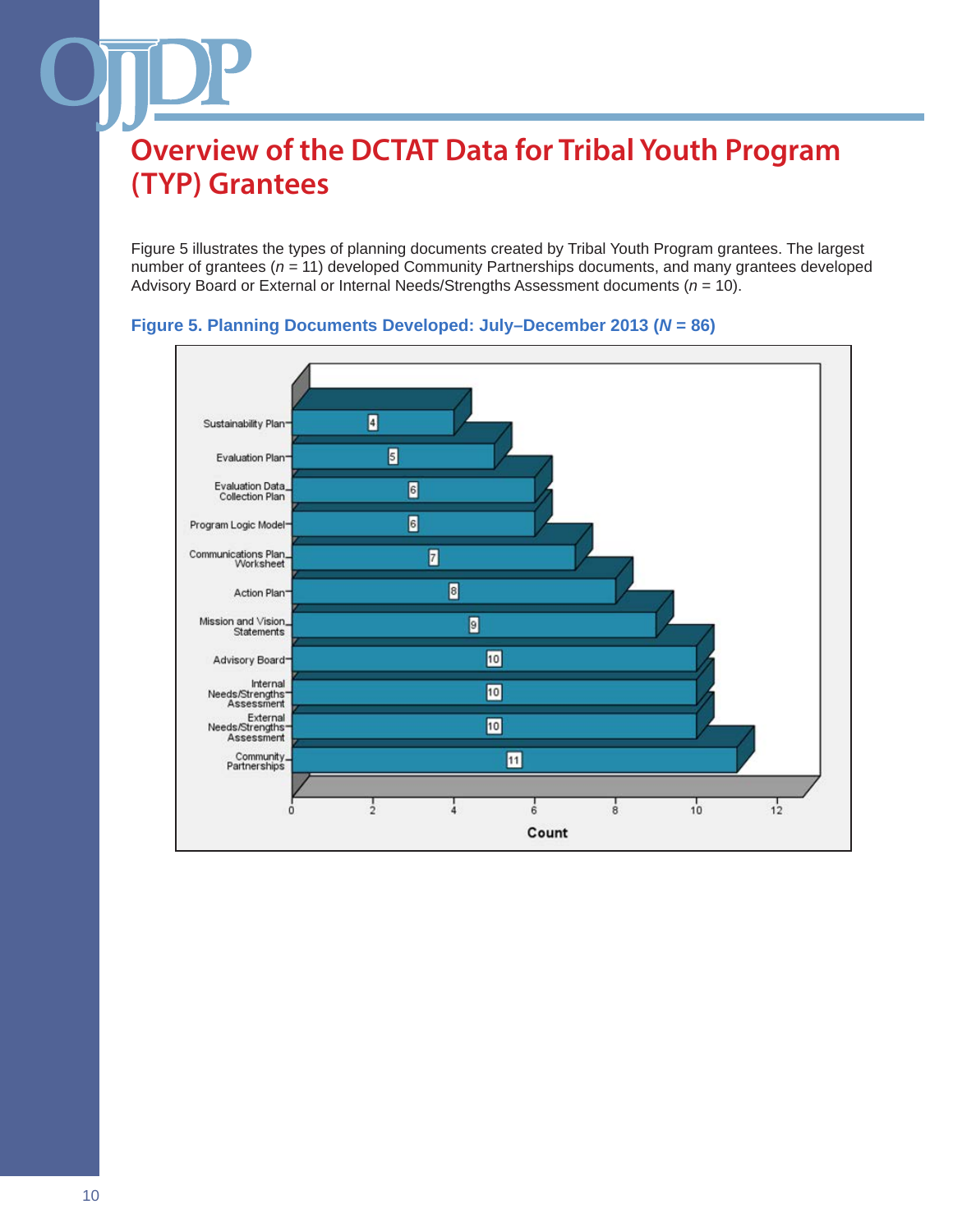Figure 5 illustrates the types of planning documents created by Tribal Youth Program grantees. The largest number of grantees (*n =* 11) developed Community Partnerships documents, and many grantees developed Advisory Board or External or Internal Needs/Strengths Assessment documents (*n* = 10).



### **Figure 5. Planning Documents Developed: July–December 2013 (***N* **= 86)**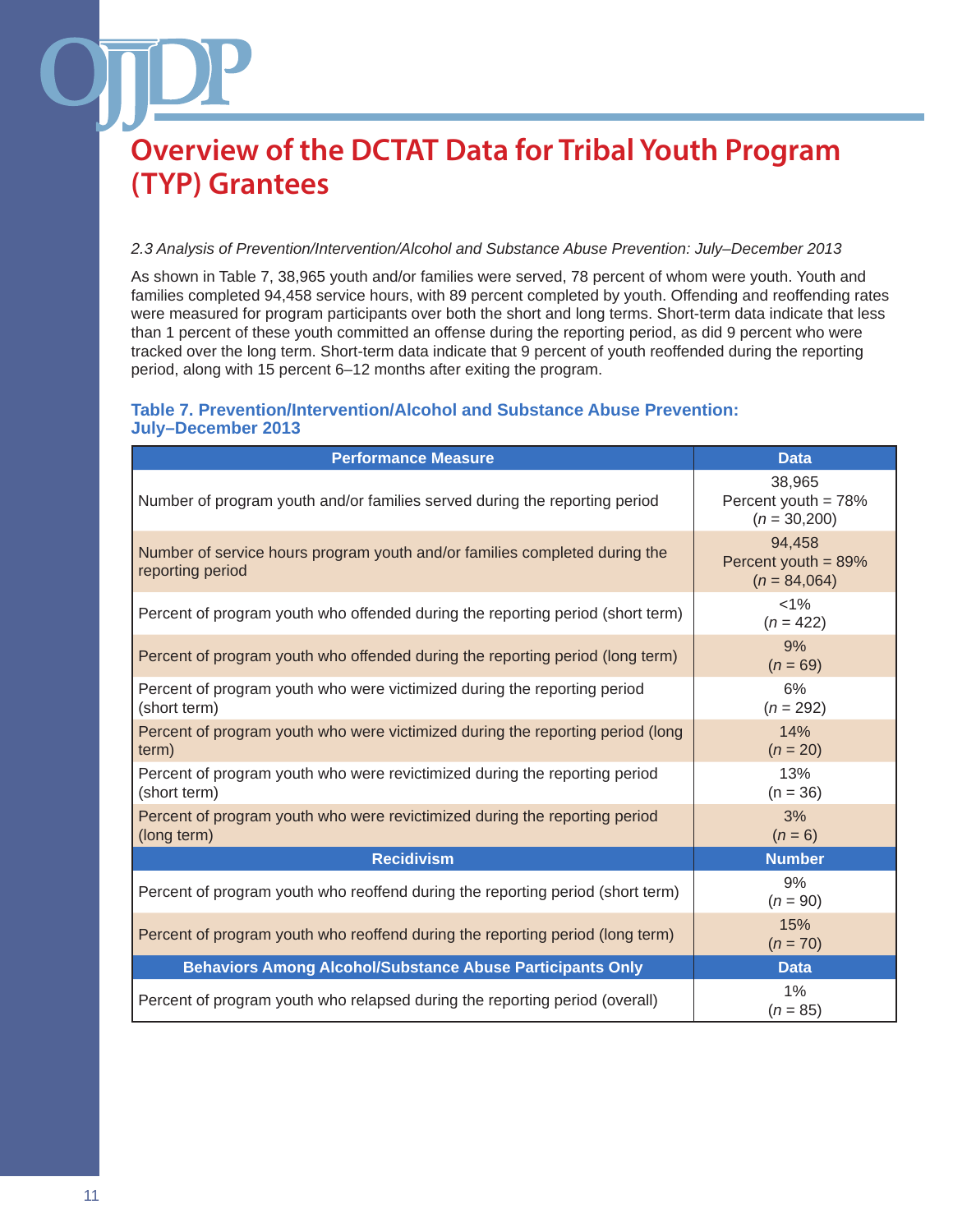#### *2.3 Analysis of Prevention/Intervention/Alcohol and Substance Abuse Prevention: July–December 2013*

As shown in Table 7, 38,965 youth and/or families were served, 78 percent of whom were youth. Youth and families completed 94,458 service hours, with 89 percent completed by youth. Offending and reoffending rates were measured for program participants over both the short and long terms. Short-term data indicate that less than 1 percent of these youth committed an offense during the reporting period, as did 9 percent who were tracked over the long term. Short-term data indicate that 9 percent of youth reoffended during the reporting period, along with 15 percent 6–12 months after exiting the program.

#### **Table 7. Prevention/Intervention/Alcohol and Substance Abuse Prevention: July–December 2013**

| <b>Performance Measure</b>                                                                     | <b>Data</b>                                        |
|------------------------------------------------------------------------------------------------|----------------------------------------------------|
| Number of program youth and/or families served during the reporting period                     | 38,965<br>Percent youth = 78%<br>$(n = 30,200)$    |
| Number of service hours program youth and/or families completed during the<br>reporting period | 94,458<br>Percent youth $= 89\%$<br>$(n = 84,064)$ |
| Percent of program youth who offended during the reporting period (short term)                 | $< 1\%$<br>$(n = 422)$                             |
| Percent of program youth who offended during the reporting period (long term)                  | 9%<br>$(n = 69)$                                   |
| Percent of program youth who were victimized during the reporting period<br>(short term)       | 6%<br>$(n = 292)$                                  |
| Percent of program youth who were victimized during the reporting period (long<br>term)        | 14%<br>$(n = 20)$                                  |
| Percent of program youth who were revictimized during the reporting period<br>(short term)     | 13%<br>$(n = 36)$                                  |
| Percent of program youth who were revictimized during the reporting period<br>(long term)      | 3%<br>$(n = 6)$                                    |
| <b>Recidivism</b>                                                                              | <b>Number</b>                                      |
| Percent of program youth who reoffend during the reporting period (short term)                 | 9%<br>$(n = 90)$                                   |
| Percent of program youth who reoffend during the reporting period (long term)                  | 15%<br>$(n = 70)$                                  |
| <b>Behaviors Among Alcohol/Substance Abuse Participants Only</b>                               | <b>Data</b>                                        |
| Percent of program youth who relapsed during the reporting period (overall)                    | $1\%$<br>$(n = 85)$                                |